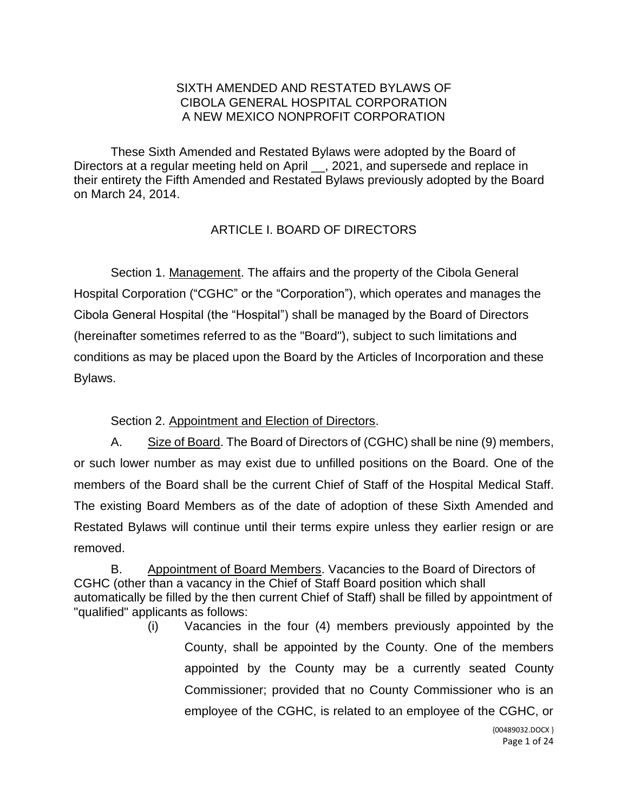### SIXTH AMENDED AND RESTATED BYLAWS OF CIBOLA GENERAL HOSPITAL CORPORATION A NEW MEXICO NONPROFIT CORPORATION

These Sixth Amended and Restated Bylaws were adopted by the Board of Directors at a regular meeting held on April \_\_, 2021, and supersede and replace in their entirety the Fifth Amended and Restated Bylaws previously adopted by the Board on March 24, 2014.

# ARTICLE I. BOARD OF DIRECTORS

Section 1. Management. The affairs and the property of the Cibola General Hospital Corporation ("CGHC" or the "Corporation"), which operates and manages the Cibola General Hospital (the "Hospital") shall be managed by the Board of Directors (hereinafter sometimes referred to as the "Board"), subject to such limitations and conditions as may be placed upon the Board by the Articles of Incorporation and these Bylaws.

Section 2. Appointment and Election of Directors.

A. Size of Board. The Board of Directors of (CGHC) shall be nine (9) members, or such lower number as may exist due to unfilled positions on the Board. One of the members of the Board shall be the current Chief of Staff of the Hospital Medical Staff. The existing Board Members as of the date of adoption of these Sixth Amended and Restated Bylaws will continue until their terms expire unless they earlier resign or are removed.

B. Appointment of Board Members. Vacancies to the Board of Directors of CGHC (other than a vacancy in the Chief of Staff Board position which shall automatically be filled by the then current Chief of Staff) shall be filled by appointment of "qualified" applicants as follows:

> (i) Vacancies in the four (4) members previously appointed by the County, shall be appointed by the County. One of the members appointed by the County may be a currently seated County Commissioner; provided that no County Commissioner who is an employee of the CGHC, is related to an employee of the CGHC, or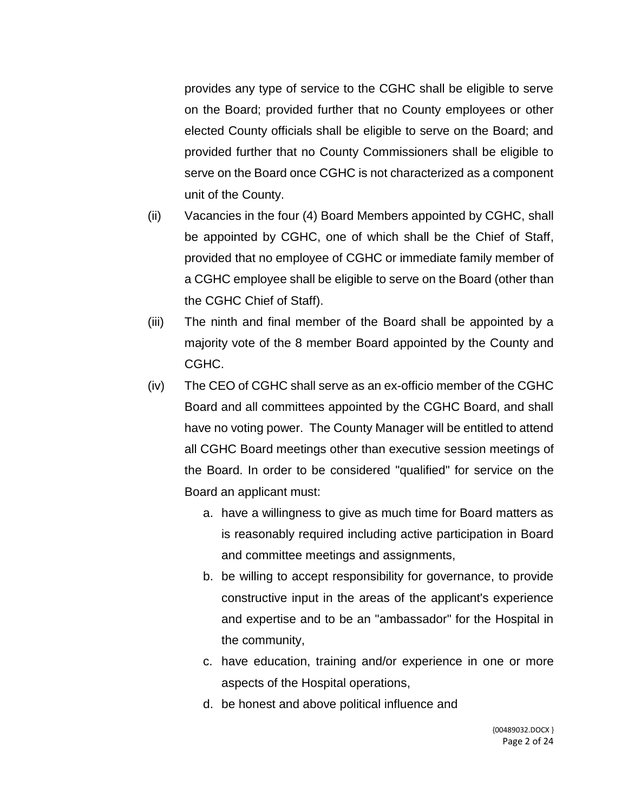provides any type of service to the CGHC shall be eligible to serve on the Board; provided further that no County employees or other elected County officials shall be eligible to serve on the Board; and provided further that no County Commissioners shall be eligible to serve on the Board once CGHC is not characterized as a component unit of the County.

- (ii) Vacancies in the four (4) Board Members appointed by CGHC, shall be appointed by CGHC, one of which shall be the Chief of Staff, provided that no employee of CGHC or immediate family member of a CGHC employee shall be eligible to serve on the Board (other than the CGHC Chief of Staff).
- (iii) The ninth and final member of the Board shall be appointed by a majority vote of the 8 member Board appointed by the County and CGHC.
- (iv) The CEO of CGHC shall serve as an ex-officio member of the CGHC Board and all committees appointed by the CGHC Board, and shall have no voting power. The County Manager will be entitled to attend all CGHC Board meetings other than executive session meetings of the Board. In order to be considered "qualified" for service on the Board an applicant must:
	- a. have a willingness to give as much time for Board matters as is reasonably required including active participation in Board and committee meetings and assignments,
	- b. be willing to accept responsibility for governance, to provide constructive input in the areas of the applicant's experience and expertise and to be an "ambassador" for the Hospital in the community,
	- c. have education, training and/or experience in one or more aspects of the Hospital operations,
	- d. be honest and above political influence and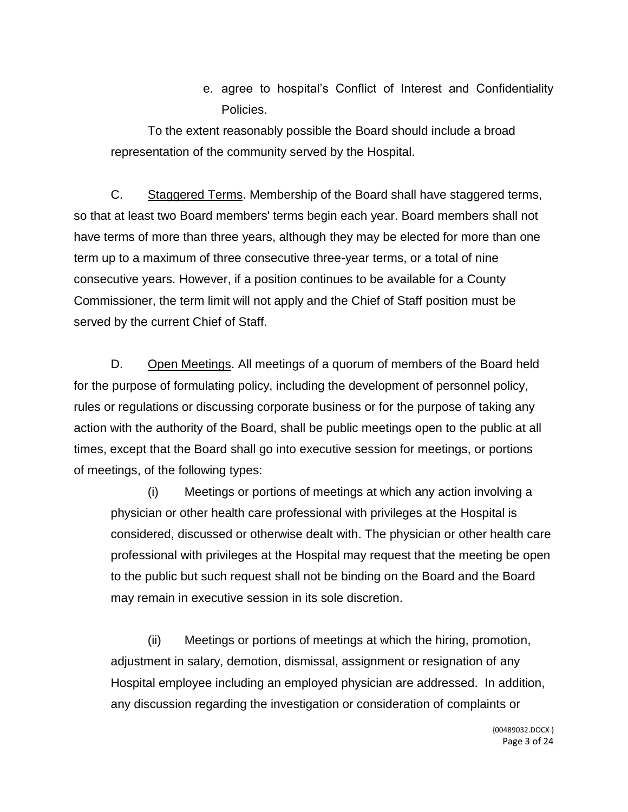e. agree to hospital's Conflict of Interest and Confidentiality Policies.

To the extent reasonably possible the Board should include a broad representation of the community served by the Hospital.

C. Staggered Terms. Membership of the Board shall have staggered terms, so that at least two Board members' terms begin each year. Board members shall not have terms of more than three years, although they may be elected for more than one term up to a maximum of three consecutive three-year terms, or a total of nine consecutive years. However, if a position continues to be available for a County Commissioner, the term limit will not apply and the Chief of Staff position must be served by the current Chief of Staff.

D. Open Meetings. All meetings of a quorum of members of the Board held for the purpose of formulating policy, including the development of personnel policy, rules or regulations or discussing corporate business or for the purpose of taking any action with the authority of the Board, shall be public meetings open to the public at all times, except that the Board shall go into executive session for meetings, or portions of meetings, of the following types:

(i) Meetings or portions of meetings at which any action involving a physician or other health care professional with privileges at the Hospital is considered, discussed or otherwise dealt with. The physician or other health care professional with privileges at the Hospital may request that the meeting be open to the public but such request shall not be binding on the Board and the Board may remain in executive session in its sole discretion.

(ii) Meetings or portions of meetings at which the hiring, promotion, adjustment in salary, demotion, dismissal, assignment or resignation of any Hospital employee including an employed physician are addressed. In addition, any discussion regarding the investigation or consideration of complaints or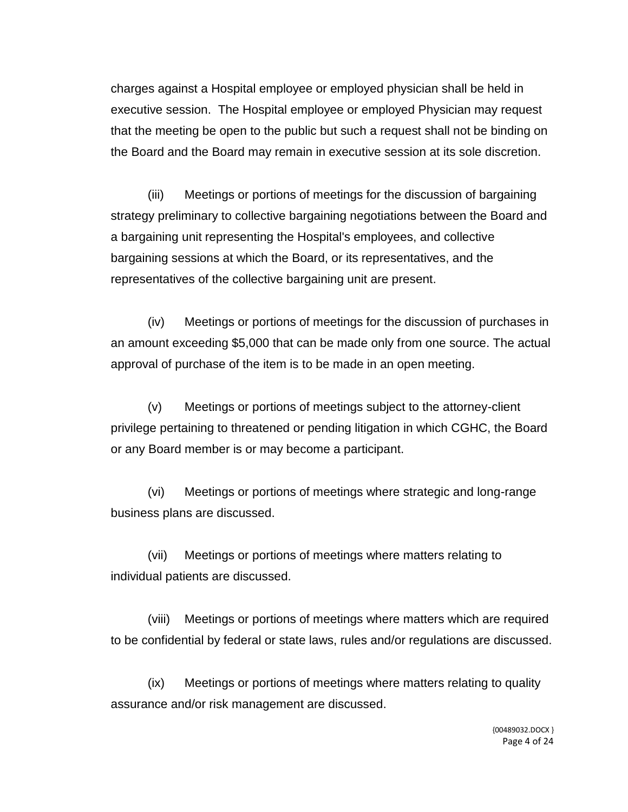charges against a Hospital employee or employed physician shall be held in executive session. The Hospital employee or employed Physician may request that the meeting be open to the public but such a request shall not be binding on the Board and the Board may remain in executive session at its sole discretion.

(iii) Meetings or portions of meetings for the discussion of bargaining strategy preliminary to collective bargaining negotiations between the Board and a bargaining unit representing the Hospital's employees, and collective bargaining sessions at which the Board, or its representatives, and the representatives of the collective bargaining unit are present.

(iv) Meetings or portions of meetings for the discussion of purchases in an amount exceeding \$5,000 that can be made only from one source. The actual approval of purchase of the item is to be made in an open meeting.

(v) Meetings or portions of meetings subject to the attorney-client privilege pertaining to threatened or pending litigation in which CGHC, the Board or any Board member is or may become a participant.

(vi) Meetings or portions of meetings where strategic and long-range business plans are discussed.

(vii) Meetings or portions of meetings where matters relating to individual patients are discussed.

(viii) Meetings or portions of meetings where matters which are required to be confidential by federal or state laws, rules and/or regulations are discussed.

(ix) Meetings or portions of meetings where matters relating to quality assurance and/or risk management are discussed.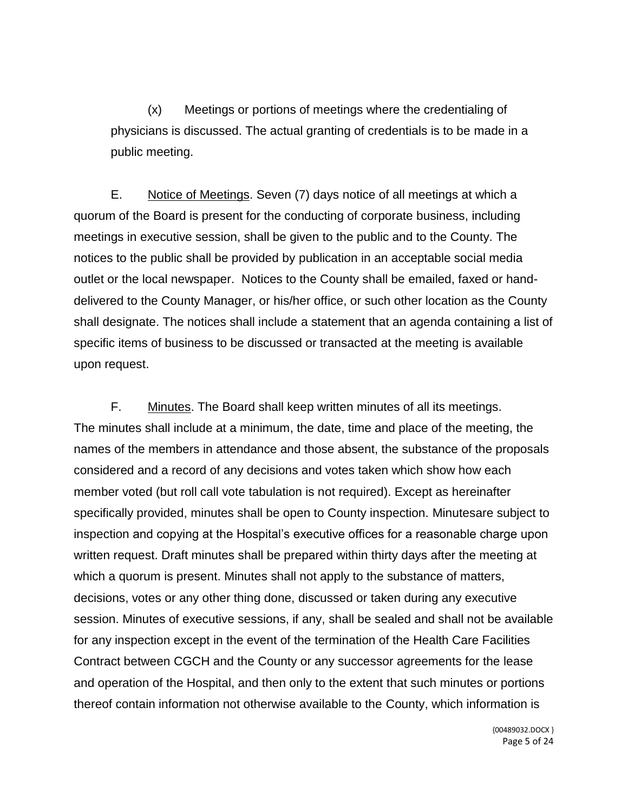(x) Meetings or portions of meetings where the credentialing of physicians is discussed. The actual granting of credentials is to be made in a public meeting.

E. Notice of Meetings. Seven (7) days notice of all meetings at which a quorum of the Board is present for the conducting of corporate business, including meetings in executive session, shall be given to the public and to the County. The notices to the public shall be provided by publication in an acceptable social media outlet or the local newspaper. Notices to the County shall be emailed, faxed or handdelivered to the County Manager, or his/her office, or such other location as the County shall designate. The notices shall include a statement that an agenda containing a list of specific items of business to be discussed or transacted at the meeting is available upon request.

F. Minutes. The Board shall keep written minutes of all its meetings. The minutes shall include at a minimum, the date, time and place of the meeting, the names of the members in attendance and those absent, the substance of the proposals considered and a record of any decisions and votes taken which show how each member voted (but roll call vote tabulation is not required). Except as hereinafter specifically provided, minutes shall be open to County inspection. Minutesare subject to inspection and copying at the Hospital's executive offices for a reasonable charge upon written request. Draft minutes shall be prepared within thirty days after the meeting at which a quorum is present. Minutes shall not apply to the substance of matters, decisions, votes or any other thing done, discussed or taken during any executive session. Minutes of executive sessions, if any, shall be sealed and shall not be available for any inspection except in the event of the termination of the Health Care Facilities Contract between CGCH and the County or any successor agreements for the lease and operation of the Hospital, and then only to the extent that such minutes or portions thereof contain information not otherwise available to the County, which information is

> {00489032.DOCX } Page 5 of 24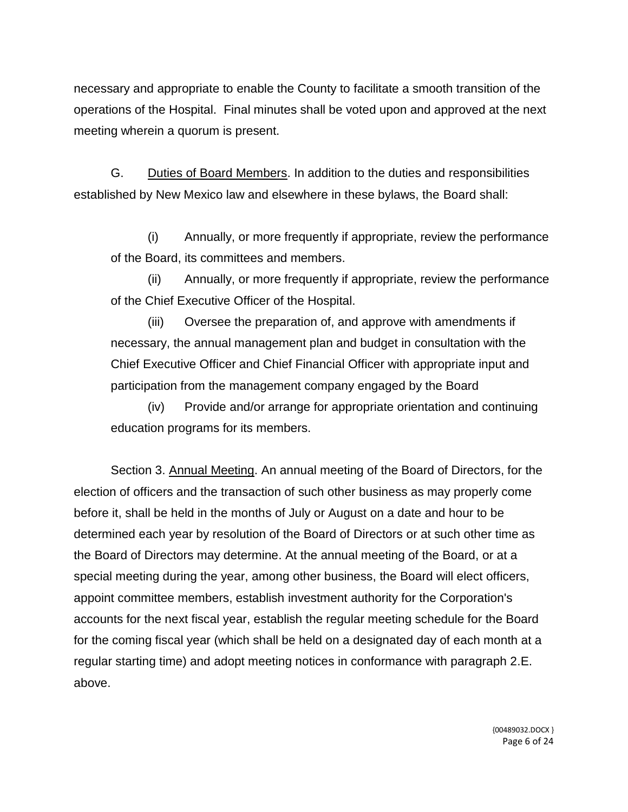necessary and appropriate to enable the County to facilitate a smooth transition of the operations of the Hospital. Final minutes shall be voted upon and approved at the next meeting wherein a quorum is present.

G. Duties of Board Members. In addition to the duties and responsibilities established by New Mexico law and elsewhere in these bylaws, the Board shall:

(i) Annually, or more frequently if appropriate, review the performance of the Board, its committees and members.

(ii) Annually, or more frequently if appropriate, review the performance of the Chief Executive Officer of the Hospital.

(iii) Oversee the preparation of, and approve with amendments if necessary, the annual management plan and budget in consultation with the Chief Executive Officer and Chief Financial Officer with appropriate input and participation from the management company engaged by the Board

(iv) Provide and/or arrange for appropriate orientation and continuing education programs for its members.

Section 3. Annual Meeting. An annual meeting of the Board of Directors, for the election of officers and the transaction of such other business as may properly come before it, shall be held in the months of July or August on a date and hour to be determined each year by resolution of the Board of Directors or at such other time as the Board of Directors may determine. At the annual meeting of the Board, or at a special meeting during the year, among other business, the Board will elect officers, appoint committee members, establish investment authority for the Corporation's accounts for the next fiscal year, establish the regular meeting schedule for the Board for the coming fiscal year (which shall be held on a designated day of each month at a regular starting time) and adopt meeting notices in conformance with paragraph 2.E. above.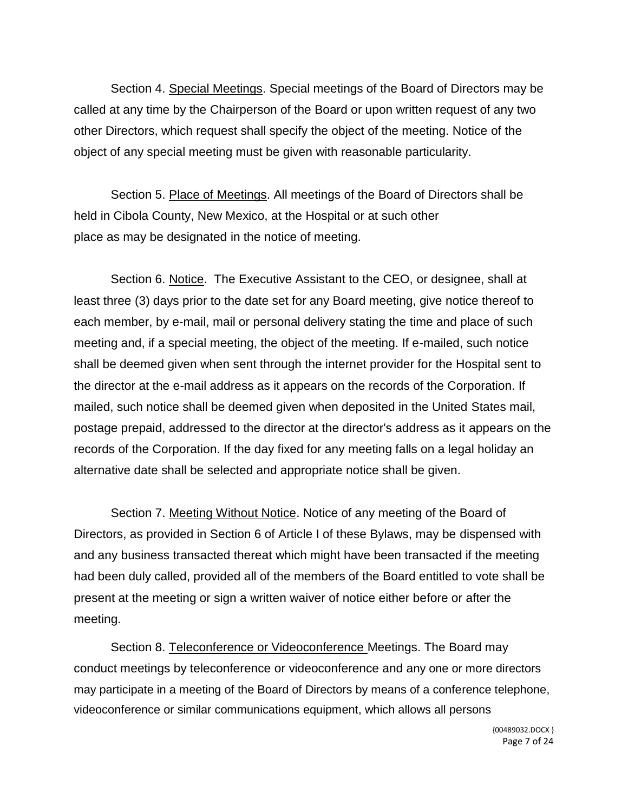Section 4. Special Meetings. Special meetings of the Board of Directors may be called at any time by the Chairperson of the Board or upon written request of any two other Directors, which request shall specify the object of the meeting. Notice of the object of any special meeting must be given with reasonable particularity.

Section 5. Place of Meetings. All meetings of the Board of Directors shall be held in Cibola County, New Mexico, at the Hospital or at such other place as may be designated in the notice of meeting.

Section 6. Notice. The Executive Assistant to the CEO, or designee, shall at least three (3) days prior to the date set for any Board meeting, give notice thereof to each member, by e-mail, mail or personal delivery stating the time and place of such meeting and, if a special meeting, the object of the meeting. If e-mailed, such notice shall be deemed given when sent through the internet provider for the Hospital sent to the director at the e-mail address as it appears on the records of the Corporation. If mailed, such notice shall be deemed given when deposited in the United States mail, postage prepaid, addressed to the director at the director's address as it appears on the records of the Corporation. If the day fixed for any meeting falls on a legal holiday an alternative date shall be selected and appropriate notice shall be given.

Section 7. Meeting Without Notice. Notice of any meeting of the Board of Directors, as provided in Section 6 of Article I of these Bylaws, may be dispensed with and any business transacted thereat which might have been transacted if the meeting had been duly called, provided all of the members of the Board entitled to vote shall be present at the meeting or sign a written waiver of notice either before or after the meeting.

Section 8. Teleconference or Videoconference Meetings. The Board may conduct meetings by teleconference or videoconference and any one or more directors may participate in a meeting of the Board of Directors by means of a conference telephone, videoconference or similar communications equipment, which allows all persons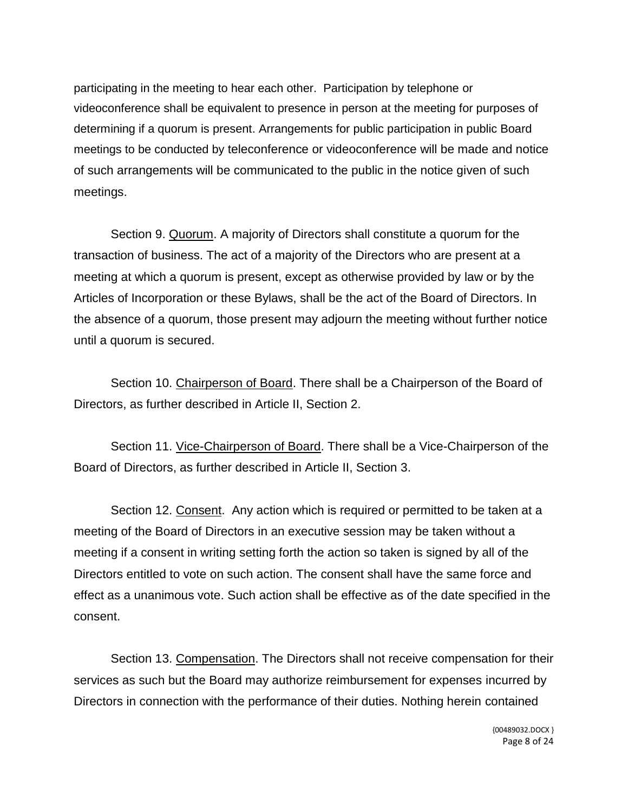participating in the meeting to hear each other. Participation by telephone or videoconference shall be equivalent to presence in person at the meeting for purposes of determining if a quorum is present. Arrangements for public participation in public Board meetings to be conducted by teleconference or videoconference will be made and notice of such arrangements will be communicated to the public in the notice given of such meetings.

Section 9. Quorum. A majority of Directors shall constitute a quorum for the transaction of business. The act of a majority of the Directors who are present at a meeting at which a quorum is present, except as otherwise provided by law or by the Articles of Incorporation or these Bylaws, shall be the act of the Board of Directors. In the absence of a quorum, those present may adjourn the meeting without further notice until a quorum is secured.

Section 10. Chairperson of Board. There shall be a Chairperson of the Board of Directors, as further described in Article II, Section 2.

Section 11. Vice-Chairperson of Board. There shall be a Vice-Chairperson of the Board of Directors, as further described in Article II, Section 3.

Section 12. Consent. Any action which is required or permitted to be taken at a meeting of the Board of Directors in an executive session may be taken without a meeting if a consent in writing setting forth the action so taken is signed by all of the Directors entitled to vote on such action. The consent shall have the same force and effect as a unanimous vote. Such action shall be effective as of the date specified in the consent.

Section 13. Compensation. The Directors shall not receive compensation for their services as such but the Board may authorize reimbursement for expenses incurred by Directors in connection with the performance of their duties. Nothing herein contained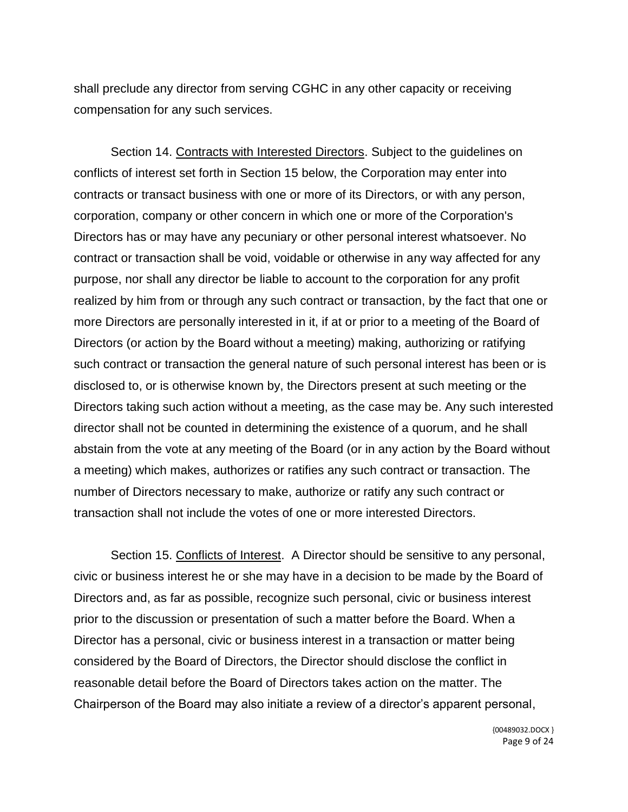shall preclude any director from serving CGHC in any other capacity or receiving compensation for any such services.

Section 14. Contracts with Interested Directors. Subject to the guidelines on conflicts of interest set forth in Section 15 below, the Corporation may enter into contracts or transact business with one or more of its Directors, or with any person, corporation, company or other concern in which one or more of the Corporation's Directors has or may have any pecuniary or other personal interest whatsoever. No contract or transaction shall be void, voidable or otherwise in any way affected for any purpose, nor shall any director be liable to account to the corporation for any profit realized by him from or through any such contract or transaction, by the fact that one or more Directors are personally interested in it, if at or prior to a meeting of the Board of Directors (or action by the Board without a meeting) making, authorizing or ratifying such contract or transaction the general nature of such personal interest has been or is disclosed to, or is otherwise known by, the Directors present at such meeting or the Directors taking such action without a meeting, as the case may be. Any such interested director shall not be counted in determining the existence of a quorum, and he shall abstain from the vote at any meeting of the Board (or in any action by the Board without a meeting) which makes, authorizes or ratifies any such contract or transaction. The number of Directors necessary to make, authorize or ratify any such contract or transaction shall not include the votes of one or more interested Directors.

Section 15. Conflicts of Interest. A Director should be sensitive to any personal, civic or business interest he or she may have in a decision to be made by the Board of Directors and, as far as possible, recognize such personal, civic or business interest prior to the discussion or presentation of such a matter before the Board. When a Director has a personal, civic or business interest in a transaction or matter being considered by the Board of Directors, the Director should disclose the conflict in reasonable detail before the Board of Directors takes action on the matter. The Chairperson of the Board may also initiate a review of a director's apparent personal,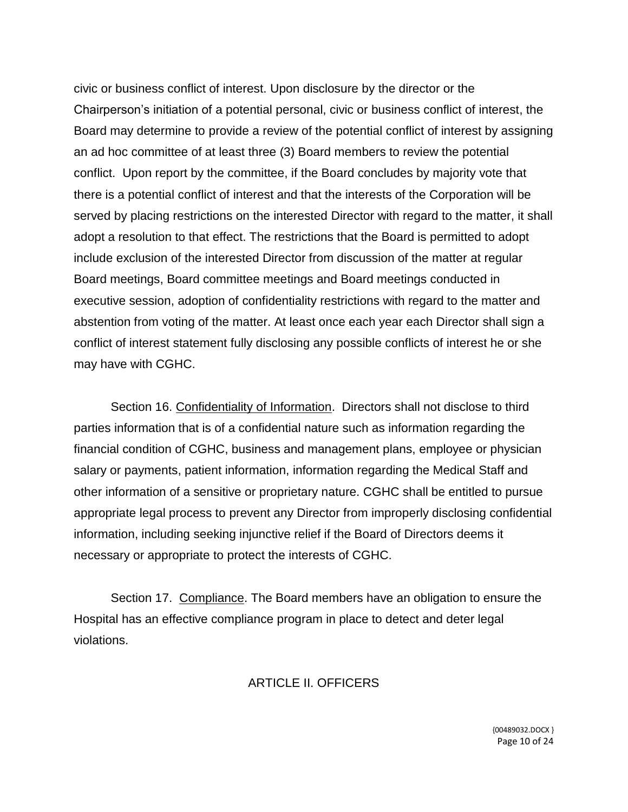civic or business conflict of interest. Upon disclosure by the director or the Chairperson's initiation of a potential personal, civic or business conflict of interest, the Board may determine to provide a review of the potential conflict of interest by assigning an ad hoc committee of at least three (3) Board members to review the potential conflict. Upon report by the committee, if the Board concludes by majority vote that there is a potential conflict of interest and that the interests of the Corporation will be served by placing restrictions on the interested Director with regard to the matter, it shall adopt a resolution to that effect. The restrictions that the Board is permitted to adopt include exclusion of the interested Director from discussion of the matter at regular Board meetings, Board committee meetings and Board meetings conducted in executive session, adoption of confidentiality restrictions with regard to the matter and abstention from voting of the matter. At least once each year each Director shall sign a conflict of interest statement fully disclosing any possible conflicts of interest he or she may have with CGHC.

Section 16. Confidentiality of Information. Directors shall not disclose to third parties information that is of a confidential nature such as information regarding the financial condition of CGHC, business and management plans, employee or physician salary or payments, patient information, information regarding the Medical Staff and other information of a sensitive or proprietary nature. CGHC shall be entitled to pursue appropriate legal process to prevent any Director from improperly disclosing confidential information, including seeking injunctive relief if the Board of Directors deems it necessary or appropriate to protect the interests of CGHC.

Section 17. Compliance. The Board members have an obligation to ensure the Hospital has an effective compliance program in place to detect and deter legal violations.

# ARTICLE II. OFFICERS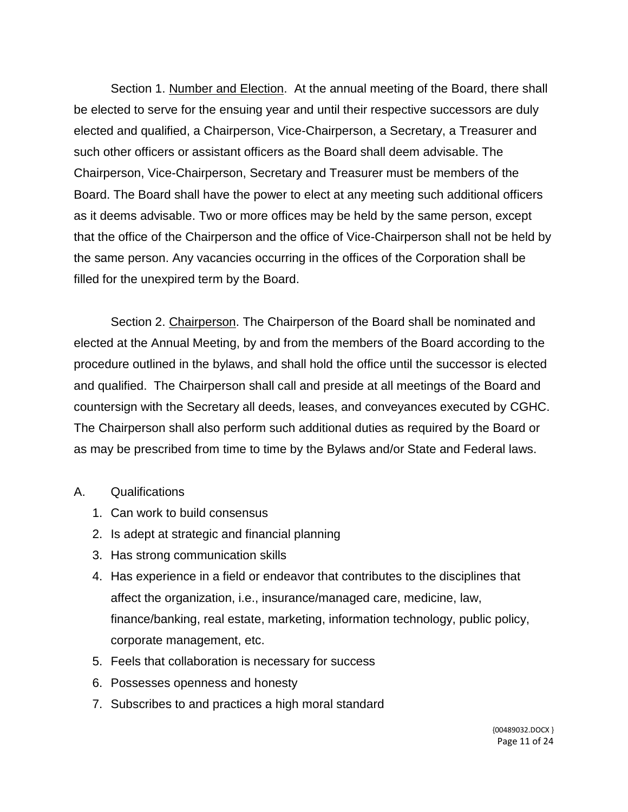Section 1. Number and Election. At the annual meeting of the Board, there shall be elected to serve for the ensuing year and until their respective successors are duly elected and qualified, a Chairperson, Vice-Chairperson, a Secretary, a Treasurer and such other officers or assistant officers as the Board shall deem advisable. The Chairperson, Vice-Chairperson, Secretary and Treasurer must be members of the Board. The Board shall have the power to elect at any meeting such additional officers as it deems advisable. Two or more offices may be held by the same person, except that the office of the Chairperson and the office of Vice-Chairperson shall not be held by the same person. Any vacancies occurring in the offices of the Corporation shall be filled for the unexpired term by the Board.

Section 2. Chairperson. The Chairperson of the Board shall be nominated and elected at the Annual Meeting, by and from the members of the Board according to the procedure outlined in the bylaws, and shall hold the office until the successor is elected and qualified. The Chairperson shall call and preside at all meetings of the Board and countersign with the Secretary all deeds, leases, and conveyances executed by CGHC. The Chairperson shall also perform such additional duties as required by the Board or as may be prescribed from time to time by the Bylaws and/or State and Federal laws.

#### A. Qualifications

- 1. Can work to build consensus
- 2. Is adept at strategic and financial planning
- 3. Has strong communication skills
- 4. Has experience in a field or endeavor that contributes to the disciplines that affect the organization, i.e., insurance/managed care, medicine, law, finance/banking, real estate, marketing, information technology, public policy, corporate management, etc.
- 5. Feels that collaboration is necessary for success
- 6. Possesses openness and honesty
- 7. Subscribes to and practices a high moral standard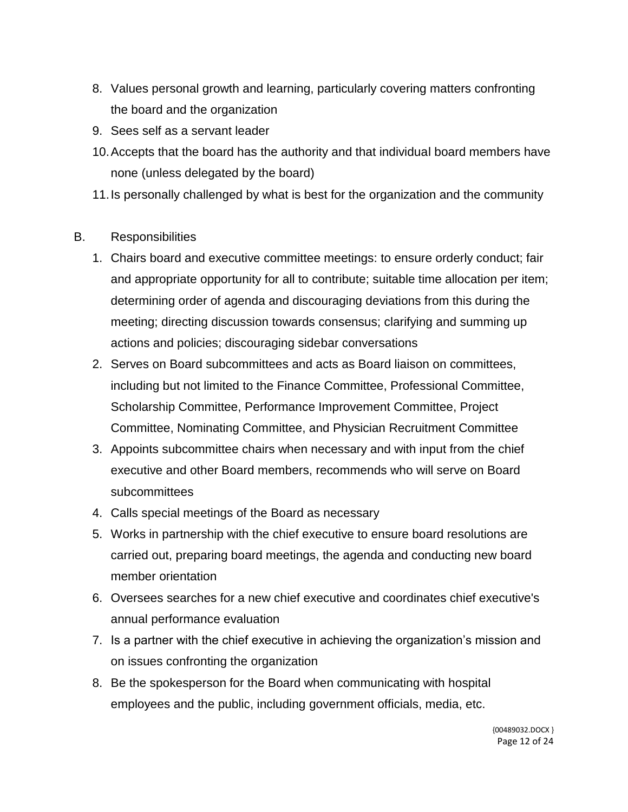- 8. Values personal growth and learning, particularly covering matters confronting the board and the organization
- 9. Sees self as a servant leader
- 10.Accepts that the board has the authority and that individual board members have none (unless delegated by the board)
- 11.Is personally challenged by what is best for the organization and the community

# B. Responsibilities

- 1. Chairs board and executive committee meetings: to ensure orderly conduct; fair and appropriate opportunity for all to contribute; suitable time allocation per item; determining order of agenda and discouraging deviations from this during the meeting; directing discussion towards consensus; clarifying and summing up actions and policies; discouraging sidebar conversations
- 2. Serves on Board subcommittees and acts as Board liaison on committees, including but not limited to the Finance Committee, Professional Committee, Scholarship Committee, Performance Improvement Committee, Project Committee, Nominating Committee, and Physician Recruitment Committee
- 3. Appoints subcommittee chairs when necessary and with input from the chief executive and other Board members, recommends who will serve on Board subcommittees
- 4. Calls special meetings of the Board as necessary
- 5. Works in partnership with the chief executive to ensure board resolutions are carried out, preparing board meetings, the agenda and conducting new board member orientation
- 6. Oversees searches for a new chief executive and coordinates chief executive's annual performance evaluation
- 7. Is a partner with the chief executive in achieving the organization's mission and on issues confronting the organization
- 8. Be the spokesperson for the Board when communicating with hospital employees and the public, including government officials, media, etc.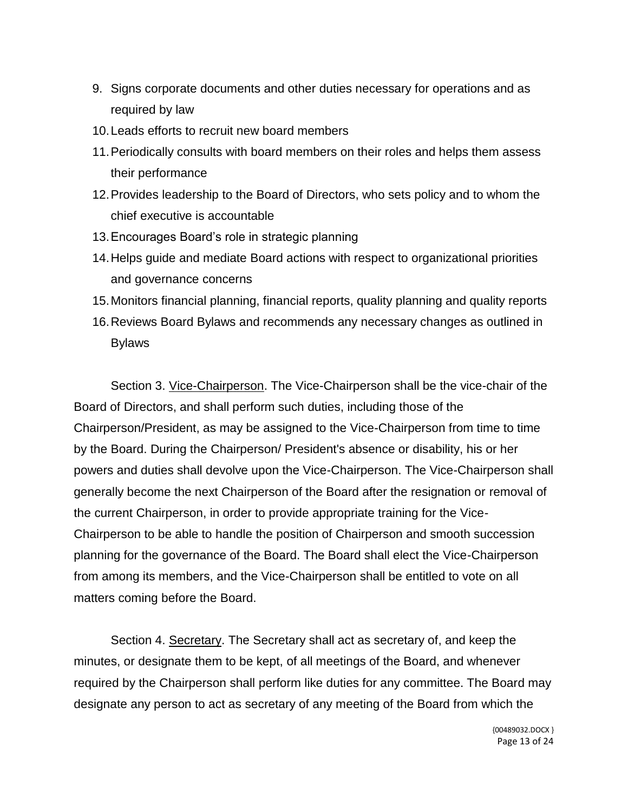- 9. Signs corporate documents and other duties necessary for operations and as required by law
- 10.Leads efforts to recruit new board members
- 11.Periodically consults with board members on their roles and helps them assess their performance
- 12.Provides leadership to the Board of Directors, who sets policy and to whom the chief executive is accountable
- 13.Encourages Board's role in strategic planning
- 14.Helps guide and mediate Board actions with respect to organizational priorities and governance concerns
- 15.Monitors financial planning, financial reports, quality planning and quality reports
- 16.Reviews Board Bylaws and recommends any necessary changes as outlined in Bylaws

Section 3. Vice-Chairperson. The Vice-Chairperson shall be the vice-chair of the Board of Directors, and shall perform such duties, including those of the Chairperson/President, as may be assigned to the Vice-Chairperson from time to time by the Board. During the Chairperson/ President's absence or disability, his or her powers and duties shall devolve upon the Vice-Chairperson. The Vice-Chairperson shall generally become the next Chairperson of the Board after the resignation or removal of the current Chairperson, in order to provide appropriate training for the Vice-Chairperson to be able to handle the position of Chairperson and smooth succession planning for the governance of the Board. The Board shall elect the Vice-Chairperson from among its members, and the Vice-Chairperson shall be entitled to vote on all matters coming before the Board.

Section 4. Secretary. The Secretary shall act as secretary of, and keep the minutes, or designate them to be kept, of all meetings of the Board, and whenever required by the Chairperson shall perform like duties for any committee. The Board may designate any person to act as secretary of any meeting of the Board from which the

> {00489032.DOCX } Page 13 of 24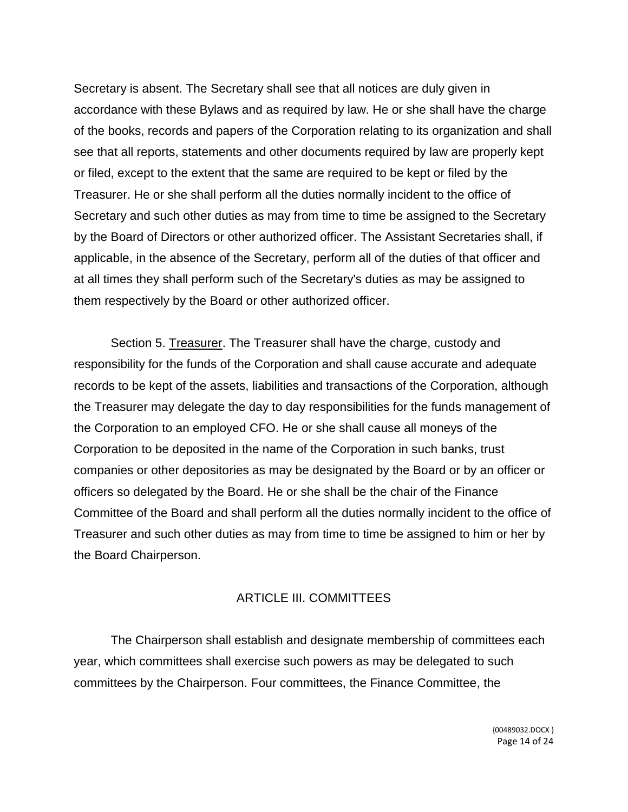Secretary is absent. The Secretary shall see that all notices are duly given in accordance with these Bylaws and as required by law. He or she shall have the charge of the books, records and papers of the Corporation relating to its organization and shall see that all reports, statements and other documents required by law are properly kept or filed, except to the extent that the same are required to be kept or filed by the Treasurer. He or she shall perform all the duties normally incident to the office of Secretary and such other duties as may from time to time be assigned to the Secretary by the Board of Directors or other authorized officer. The Assistant Secretaries shall, if applicable, in the absence of the Secretary, perform all of the duties of that officer and at all times they shall perform such of the Secretary's duties as may be assigned to them respectively by the Board or other authorized officer.

Section 5. Treasurer. The Treasurer shall have the charge, custody and responsibility for the funds of the Corporation and shall cause accurate and adequate records to be kept of the assets, liabilities and transactions of the Corporation, although the Treasurer may delegate the day to day responsibilities for the funds management of the Corporation to an employed CFO. He or she shall cause all moneys of the Corporation to be deposited in the name of the Corporation in such banks, trust companies or other depositories as may be designated by the Board or by an officer or officers so delegated by the Board. He or she shall be the chair of the Finance Committee of the Board and shall perform all the duties normally incident to the office of Treasurer and such other duties as may from time to time be assigned to him or her by the Board Chairperson.

### ARTICLE III. COMMITTEES

The Chairperson shall establish and designate membership of committees each year, which committees shall exercise such powers as may be delegated to such committees by the Chairperson. Four committees, the Finance Committee, the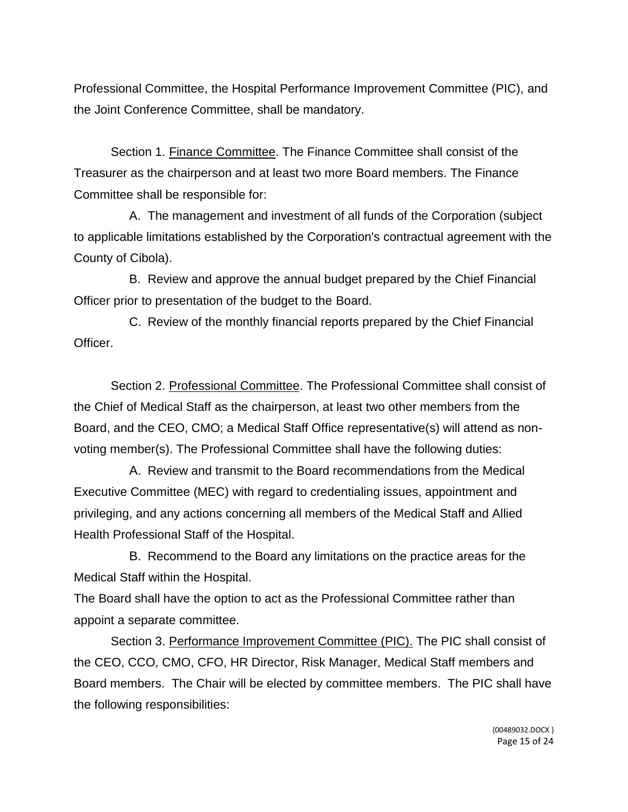Professional Committee, the Hospital Performance Improvement Committee (PIC), and the Joint Conference Committee, shall be mandatory.

Section 1. Finance Committee. The Finance Committee shall consist of the Treasurer as the chairperson and at least two more Board members. The Finance Committee shall be responsible for:

A. The management and investment of all funds of the Corporation (subject to applicable limitations established by the Corporation's contractual agreement with the County of Cibola).

B. Review and approve the annual budget prepared by the Chief Financial Officer prior to presentation of the budget to the Board.

C. Review of the monthly financial reports prepared by the Chief Financial Officer.

Section 2. Professional Committee. The Professional Committee shall consist of the Chief of Medical Staff as the chairperson, at least two other members from the Board, and the CEO, CMO; a Medical Staff Office representative(s) will attend as nonvoting member(s). The Professional Committee shall have the following duties:

A. Review and transmit to the Board recommendations from the Medical Executive Committee (MEC) with regard to credentialing issues, appointment and privileging, and any actions concerning all members of the Medical Staff and Allied Health Professional Staff of the Hospital.

B. Recommend to the Board any limitations on the practice areas for the Medical Staff within the Hospital.

The Board shall have the option to act as the Professional Committee rather than appoint a separate committee.

Section 3. Performance Improvement Committee (PIC). The PIC shall consist of the CEO, CCO, CMO, CFO, HR Director, Risk Manager, Medical Staff members and Board members. The Chair will be elected by committee members. The PIC shall have the following responsibilities: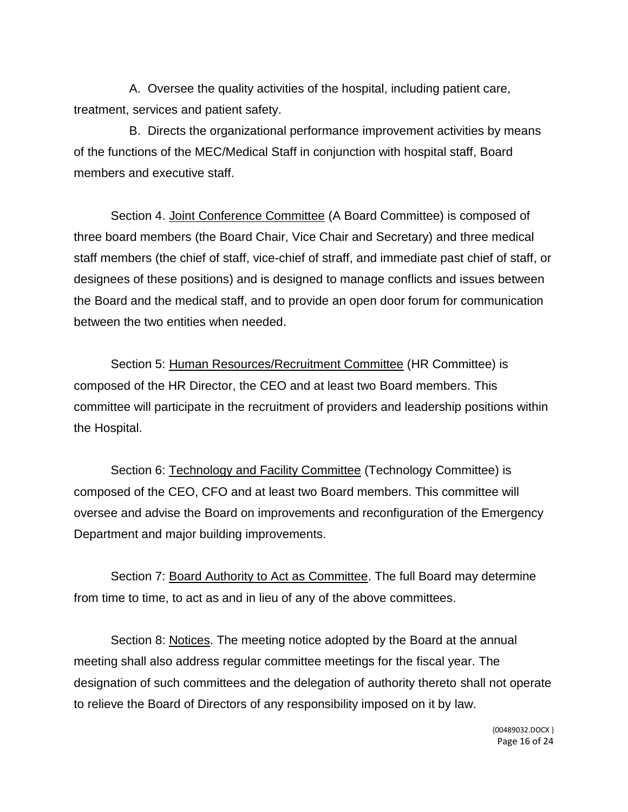A. Oversee the quality activities of the hospital, including patient care, treatment, services and patient safety.

B. Directs the organizational performance improvement activities by means of the functions of the MEC/Medical Staff in conjunction with hospital staff, Board members and executive staff.

Section 4. Joint Conference Committee (A Board Committee) is composed of three board members (the Board Chair, Vice Chair and Secretary) and three medical staff members (the chief of staff, vice-chief of straff, and immediate past chief of staff, or designees of these positions) and is designed to manage conflicts and issues between the Board and the medical staff, and to provide an open door forum for communication between the two entities when needed.

Section 5: Human Resources/Recruitment Committee (HR Committee) is composed of the HR Director, the CEO and at least two Board members. This committee will participate in the recruitment of providers and leadership positions within the Hospital.

Section 6: Technology and Facility Committee (Technology Committee) is composed of the CEO, CFO and at least two Board members. This committee will oversee and advise the Board on improvements and reconfiguration of the Emergency Department and major building improvements.

Section 7: Board Authority to Act as Committee. The full Board may determine from time to time, to act as and in lieu of any of the above committees.

Section 8: Notices. The meeting notice adopted by the Board at the annual meeting shall also address regular committee meetings for the fiscal year. The designation of such committees and the delegation of authority thereto shall not operate to relieve the Board of Directors of any responsibility imposed on it by law.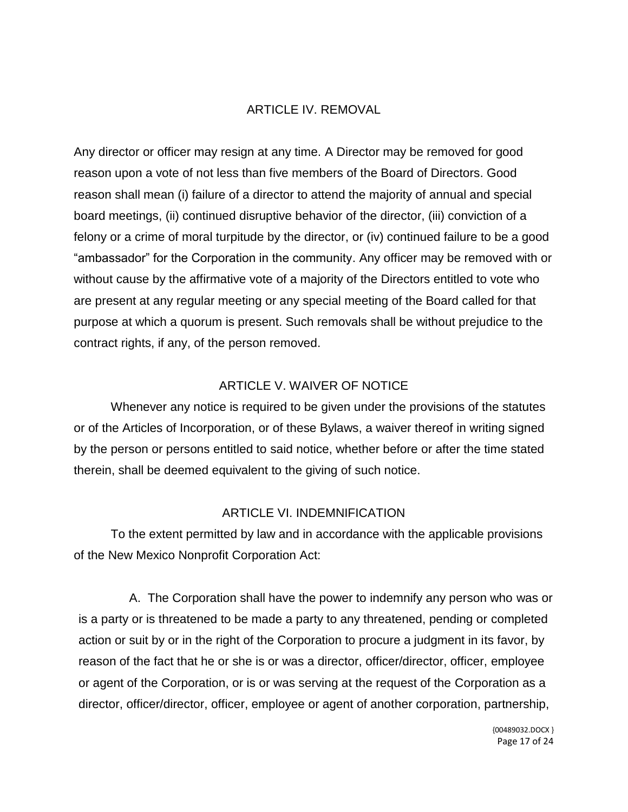### ARTICLE IV. REMOVAL

Any director or officer may resign at any time. A Director may be removed for good reason upon a vote of not less than five members of the Board of Directors. Good reason shall mean (i) failure of a director to attend the majority of annual and special board meetings, (ii) continued disruptive behavior of the director, (iii) conviction of a felony or a crime of moral turpitude by the director, or (iv) continued failure to be a good "ambassador" for the Corporation in the community. Any officer may be removed with or without cause by the affirmative vote of a majority of the Directors entitled to vote who are present at any regular meeting or any special meeting of the Board called for that purpose at which a quorum is present. Such removals shall be without prejudice to the contract rights, if any, of the person removed.

### ARTICLE V. WAIVER OF NOTICE

Whenever any notice is required to be given under the provisions of the statutes or of the Articles of Incorporation, or of these Bylaws, a waiver thereof in writing signed by the person or persons entitled to said notice, whether before or after the time stated therein, shall be deemed equivalent to the giving of such notice.

#### ARTICLE VI. INDEMNIFICATION

To the extent permitted by law and in accordance with the applicable provisions of the New Mexico Nonprofit Corporation Act:

A. The Corporation shall have the power to indemnify any person who was or is a party or is threatened to be made a party to any threatened, pending or completed action or suit by or in the right of the Corporation to procure a judgment in its favor, by reason of the fact that he or she is or was a director, officer/director, officer, employee or agent of the Corporation, or is or was serving at the request of the Corporation as a director, officer/director, officer, employee or agent of another corporation, partnership,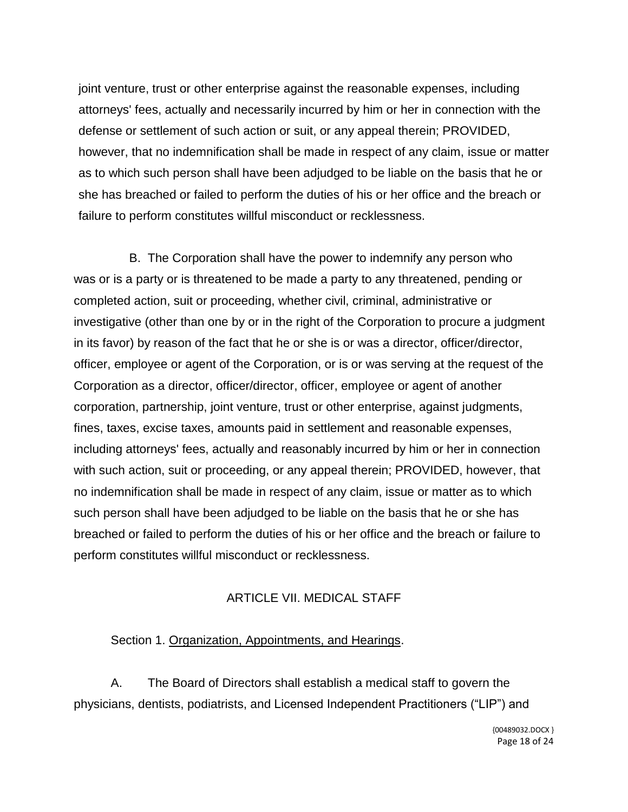joint venture, trust or other enterprise against the reasonable expenses, including attorneys' fees, actually and necessarily incurred by him or her in connection with the defense or settlement of such action or suit, or any appeal therein; PROVIDED, however, that no indemnification shall be made in respect of any claim, issue or matter as to which such person shall have been adjudged to be liable on the basis that he or she has breached or failed to perform the duties of his or her office and the breach or failure to perform constitutes willful misconduct or recklessness.

B. The Corporation shall have the power to indemnify any person who was or is a party or is threatened to be made a party to any threatened, pending or completed action, suit or proceeding, whether civil, criminal, administrative or investigative (other than one by or in the right of the Corporation to procure a judgment in its favor) by reason of the fact that he or she is or was a director, officer/director, officer, employee or agent of the Corporation, or is or was serving at the request of the Corporation as a director, officer/director, officer, employee or agent of another corporation, partnership, joint venture, trust or other enterprise, against judgments, fines, taxes, excise taxes, amounts paid in settlement and reasonable expenses, including attorneys' fees, actually and reasonably incurred by him or her in connection with such action, suit or proceeding, or any appeal therein; PROVIDED, however, that no indemnification shall be made in respect of any claim, issue or matter as to which such person shall have been adjudged to be liable on the basis that he or she has breached or failed to perform the duties of his or her office and the breach or failure to perform constitutes willful misconduct or recklessness.

### ARTICLE VII. MEDICAL STAFF

### Section 1. Organization, Appointments, and Hearings.

A. The Board of Directors shall establish a medical staff to govern the physicians, dentists, podiatrists, and Licensed Independent Practitioners ("LIP") and

> {00489032.DOCX } Page 18 of 24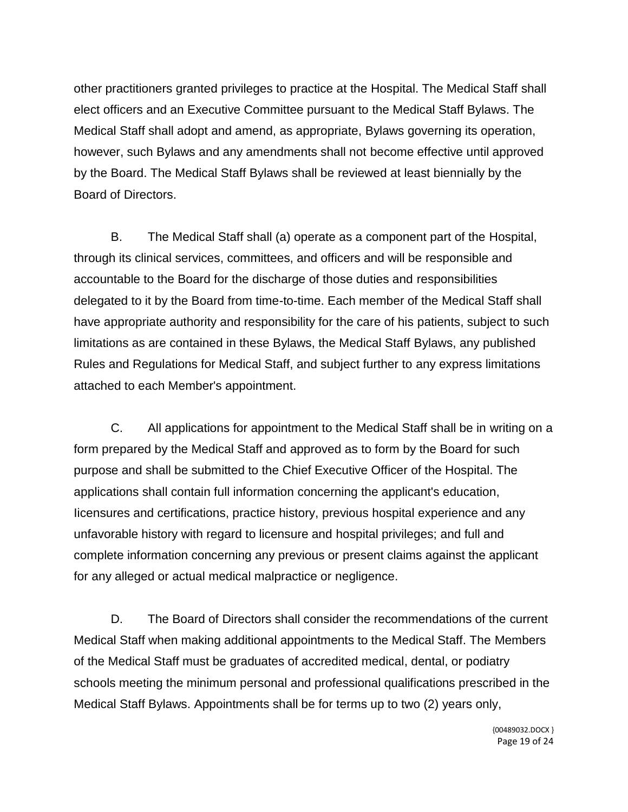other practitioners granted privileges to practice at the Hospital. The Medical Staff shall elect officers and an Executive Committee pursuant to the Medical Staff Bylaws. The Medical Staff shall adopt and amend, as appropriate, Bylaws governing its operation, however, such Bylaws and any amendments shall not become effective until approved by the Board. The Medical Staff Bylaws shall be reviewed at least biennially by the Board of Directors.

B. The Medical Staff shall (a) operate as a component part of the Hospital, through its clinical services, committees, and officers and will be responsible and accountable to the Board for the discharge of those duties and responsibilities delegated to it by the Board from time-to-time. Each member of the Medical Staff shall have appropriate authority and responsibility for the care of his patients, subject to such limitations as are contained in these Bylaws, the Medical Staff Bylaws, any published Rules and Regulations for Medical Staff, and subject further to any express limitations attached to each Member's appointment.

C. All applications for appointment to the Medical Staff shall be in writing on a form prepared by the Medical Staff and approved as to form by the Board for such purpose and shall be submitted to the Chief Executive Officer of the Hospital. The applications shall contain full information concerning the applicant's education, Iicensures and certifications, practice history, previous hospital experience and any unfavorable history with regard to licensure and hospital privileges; and full and complete information concerning any previous or present claims against the applicant for any alleged or actual medical malpractice or negligence.

D. The Board of Directors shall consider the recommendations of the current Medical Staff when making additional appointments to the Medical Staff. The Members of the Medical Staff must be graduates of accredited medical, dental, or podiatry schools meeting the minimum personal and professional qualifications prescribed in the Medical Staff Bylaws. Appointments shall be for terms up to two (2) years only,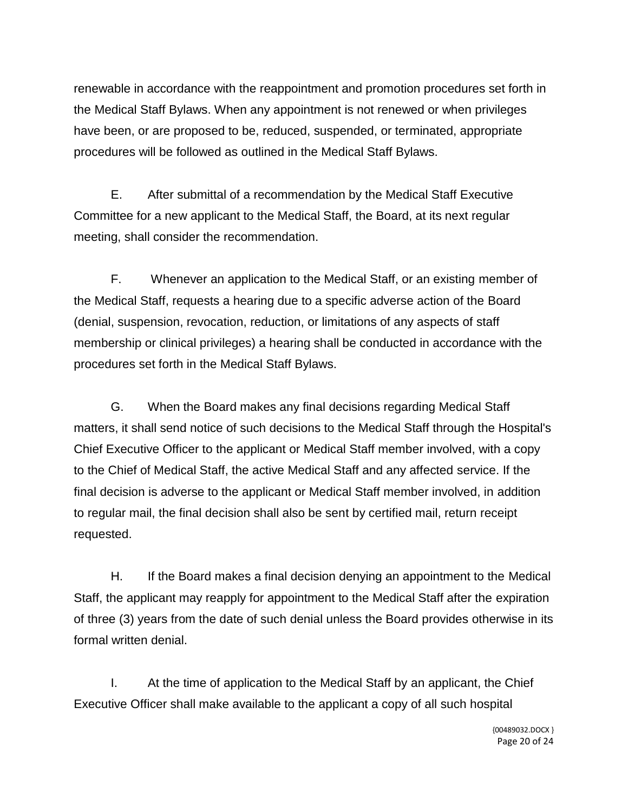renewable in accordance with the reappointment and promotion procedures set forth in the Medical Staff Bylaws. When any appointment is not renewed or when privileges have been, or are proposed to be, reduced, suspended, or terminated, appropriate procedures will be followed as outlined in the Medical Staff Bylaws.

E. After submittal of a recommendation by the Medical Staff Executive Committee for a new applicant to the Medical Staff, the Board, at its next regular meeting, shall consider the recommendation.

F. Whenever an application to the Medical Staff, or an existing member of the Medical Staff, requests a hearing due to a specific adverse action of the Board (denial, suspension, revocation, reduction, or limitations of any aspects of staff membership or clinical privileges) a hearing shall be conducted in accordance with the procedures set forth in the Medical Staff Bylaws.

G. When the Board makes any final decisions regarding Medical Staff matters, it shall send notice of such decisions to the Medical Staff through the Hospital's Chief Executive Officer to the applicant or Medical Staff member involved, with a copy to the Chief of Medical Staff, the active Medical Staff and any affected service. If the final decision is adverse to the applicant or Medical Staff member involved, in addition to regular mail, the final decision shall also be sent by certified mail, return receipt requested.

H. If the Board makes a final decision denying an appointment to the Medical Staff, the applicant may reapply for appointment to the Medical Staff after the expiration of three (3) years from the date of such denial unless the Board provides otherwise in its formal written denial.

I. At the time of application to the Medical Staff by an applicant, the Chief Executive Officer shall make available to the applicant a copy of all such hospital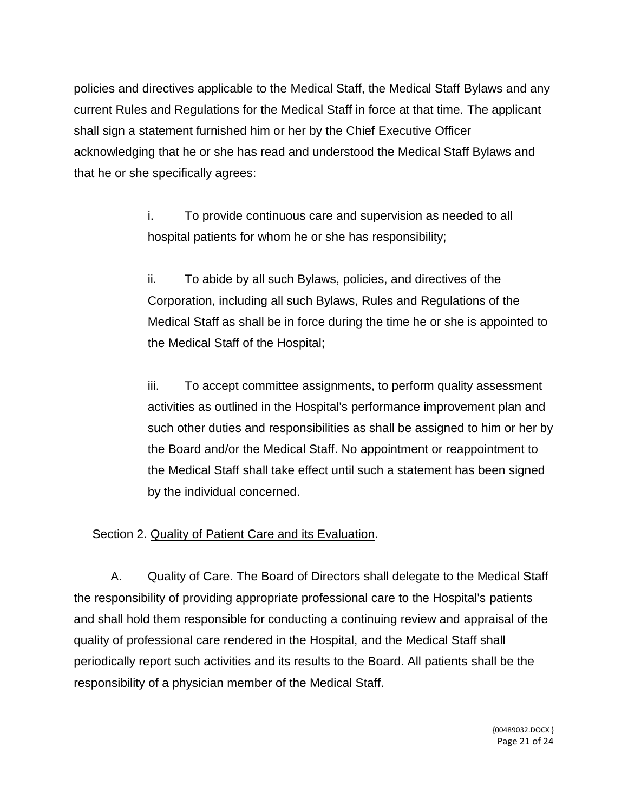policies and directives applicable to the Medical Staff, the Medical Staff Bylaws and any current Rules and Regulations for the Medical Staff in force at that time. The applicant shall sign a statement furnished him or her by the Chief Executive Officer acknowledging that he or she has read and understood the Medical Staff Bylaws and that he or she specifically agrees:

> i. To provide continuous care and supervision as needed to all hospital patients for whom he or she has responsibility;

ii. To abide by all such Bylaws, policies, and directives of the Corporation, including all such Bylaws, Rules and Regulations of the Medical Staff as shall be in force during the time he or she is appointed to the Medical Staff of the Hospital;

iii. To accept committee assignments, to perform quality assessment activities as outlined in the Hospital's performance improvement plan and such other duties and responsibilities as shall be assigned to him or her by the Board and/or the Medical Staff. No appointment or reappointment to the Medical Staff shall take effect until such a statement has been signed by the individual concerned.

# Section 2. Quality of Patient Care and its Evaluation.

A. Quality of Care. The Board of Directors shall delegate to the Medical Staff the responsibility of providing appropriate professional care to the Hospital's patients and shall hold them responsible for conducting a continuing review and appraisal of the quality of professional care rendered in the Hospital, and the Medical Staff shall periodically report such activities and its results to the Board. All patients shall be the responsibility of a physician member of the Medical Staff.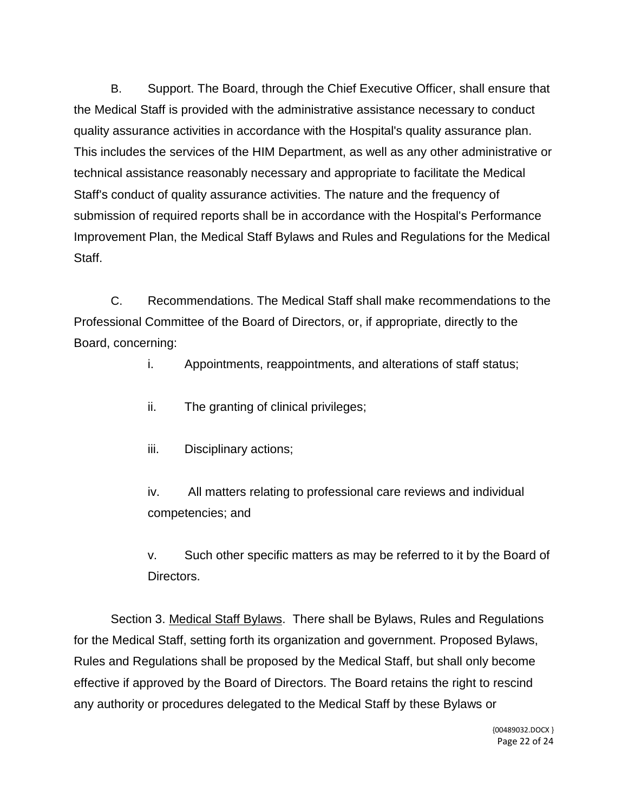B. Support. The Board, through the Chief Executive Officer, shall ensure that the Medical Staff is provided with the administrative assistance necessary to conduct quality assurance activities in accordance with the Hospital's quality assurance plan. This includes the services of the HIM Department, as well as any other administrative or technical assistance reasonably necessary and appropriate to facilitate the Medical Staff's conduct of quality assurance activities. The nature and the frequency of submission of required reports shall be in accordance with the Hospital's Performance Improvement Plan, the Medical Staff Bylaws and Rules and Regulations for the Medical Staff.

C. Recommendations. The Medical Staff shall make recommendations to the Professional Committee of the Board of Directors, or, if appropriate, directly to the Board, concerning:

i. Appointments, reappointments, and alterations of staff status;

- ii. The granting of clinical privileges;
- iii. Disciplinary actions;

iv. All matters relating to professional care reviews and individual competencies; and

v. Such other specific matters as may be referred to it by the Board of Directors.

Section 3. Medical Staff Bylaws. There shall be Bylaws, Rules and Regulations for the Medical Staff, setting forth its organization and government. Proposed Bylaws, Rules and Regulations shall be proposed by the Medical Staff, but shall only become effective if approved by the Board of Directors. The Board retains the right to rescind any authority or procedures delegated to the Medical Staff by these Bylaws or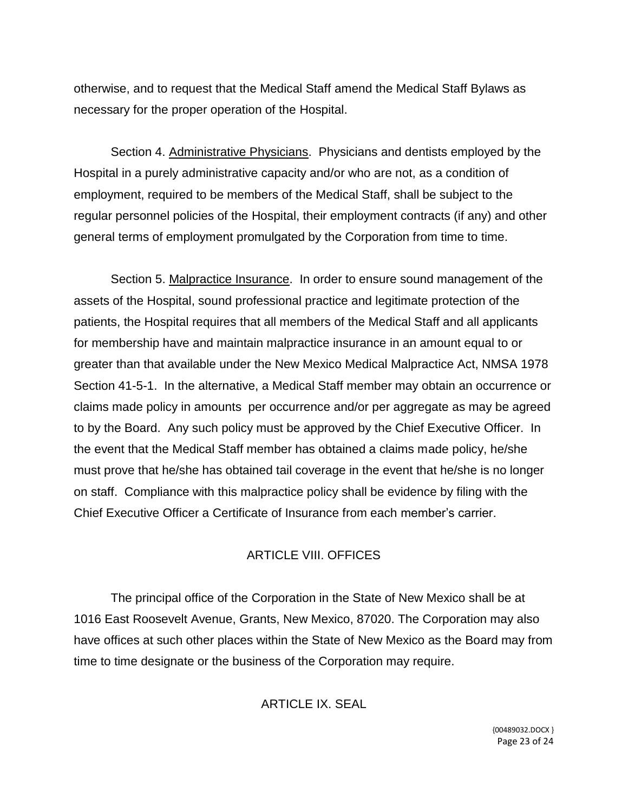otherwise, and to request that the Medical Staff amend the Medical Staff Bylaws as necessary for the proper operation of the Hospital.

Section 4. Administrative Physicians. Physicians and dentists employed by the Hospital in a purely administrative capacity and/or who are not, as a condition of employment, required to be members of the Medical Staff, shall be subject to the regular personnel policies of the Hospital, their employment contracts (if any) and other general terms of employment promulgated by the Corporation from time to time.

Section 5. Malpractice Insurance. In order to ensure sound management of the assets of the Hospital, sound professional practice and legitimate protection of the patients, the Hospital requires that all members of the Medical Staff and all applicants for membership have and maintain malpractice insurance in an amount equal to or greater than that available under the New Mexico Medical Malpractice Act, NMSA 1978 Section 41-5-1. In the alternative, a Medical Staff member may obtain an occurrence or claims made policy in amounts per occurrence and/or per aggregate as may be agreed to by the Board. Any such policy must be approved by the Chief Executive Officer. In the event that the Medical Staff member has obtained a claims made policy, he/she must prove that he/she has obtained tail coverage in the event that he/she is no longer on staff. Compliance with this malpractice policy shall be evidence by filing with the Chief Executive Officer a Certificate of Insurance from each member's carrier.

# ARTICLE VIII. OFFICES

The principal office of the Corporation in the State of New Mexico shall be at 1016 East Roosevelt Avenue, Grants, New Mexico, 87020. The Corporation may also have offices at such other places within the State of New Mexico as the Board may from time to time designate or the business of the Corporation may require.

# ARTICLE IX. SEAL